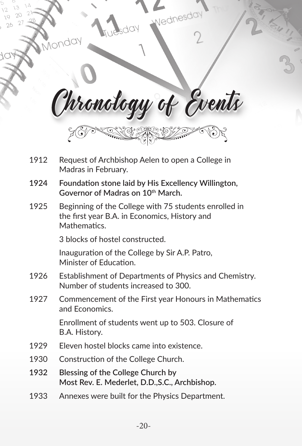|      | vednesda                                                                                                               |
|------|------------------------------------------------------------------------------------------------------------------------|
|      | Irronology of Events                                                                                                   |
| 1912 | Request of Archbishop Aelen to open a College in<br>Madras in February.                                                |
| 1924 | Foundation stone laid by His Excellency Willington,<br>Governor of Madras on 10 <sup>th</sup> March.                   |
| 1925 | Beginning of the College with 75 students enrolled in<br>the first year B.A. in Economics, History and<br>Mathematics. |
|      | 3 blocks of hostel constructed.                                                                                        |
|      | Inauguration of the College by Sir A.P. Patro,<br>Minister of Education.                                               |
| 1926 | Establishment of Departments of Physics and Chemistry.<br>Number of students increased to 300.                         |
| 1927 | Commencement of the First year Honours in Mathematics<br>and Economics.                                                |
|      | Enrollment of students went up to 503. Closure of<br>B.A. History.                                                     |
| 1929 | Eleven hostel blocks came into existence.                                                                              |
| 1930 | Construction of the College Church.                                                                                    |
| 1932 | Blessing of the College Church by                                                                                      |

 $\langle$ 

- **Most Rev. E. Mederlet, D.D.,S.C., Archbishop.**
- 1933 Annexes were built for the Physics Department.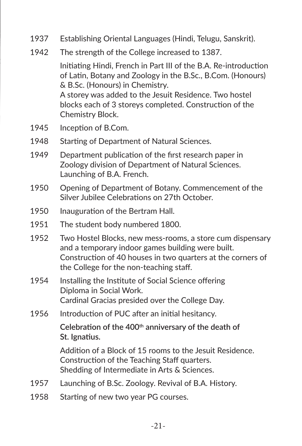- 1937 Establishing Oriental Languages (Hindi, Telugu, Sanskrit).
- 1942 The strength of the College increased to 1387.

 Initiating Hindi, French in Part III of the B.A. Re-introduction of Latin, Botany and Zoology in the B.Sc., B.Com. (Honours) & B.Sc. (Honours) in Chemistry. A storey was added to the Jesuit Residence. Two hostel

 blocks each of 3 storeys completed. Construction of the Chemistry Block.

- 1945 Inception of B.Com.
- 1948 Starting of Department of Natural Sciences.
- 1949 Department publication of the first research paper in Zoology division of Department of Natural Sciences. Launching of B.A. French.
- 1950 Opening of Department of Botany. Commencement of the Silver Jubilee Celebrations on 27th October.
- 1950 Inauguration of the Bertram Hall.
- 1951 The student body numbered 1800.
- 1952 Two Hostel Blocks, new mess-rooms, a store cum dispensary and a temporary indoor games building were built. Construction of 40 houses in two quarters at the corners of the College for the non-teaching staff.
- 1954 Installing the Institute of Social Science offering Diploma in Social Work. Cardinal Gracias presided over the College Day.
- 1956 Introduction of PUC after an initial hesitancy.

Celebration of the 400<sup>th</sup> anniversary of the death of **St. Ignatius.**

 Addition of a Block of 15 rooms to the Jesuit Residence. Construction of the Teaching Staff quarters. Shedding of Intermediate in Arts & Sciences.

- 1957 Launching of B.Sc. Zoology. Revival of B.A. History.
- 1958 Starting of new two year PG courses.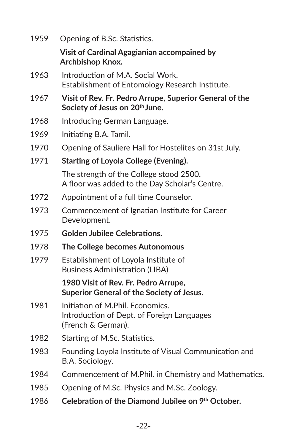| 1959 | Opening of B.Sc. Statistics.                                                                         |
|------|------------------------------------------------------------------------------------------------------|
|      | Visit of Cardinal Agagianian accompained by<br>Archbishop Knox.                                      |
| 1963 | Introduction of M.A. Social Work.<br>Establishment of Entomology Research Institute.                 |
| 1967 | Visit of Rev. Fr. Pedro Arrupe, Superior General of the<br>Society of Jesus on 20th June.            |
| 1968 | Introducing German Language.                                                                         |
| 1969 | Initiating B.A. Tamil.                                                                               |
| 1970 | Opening of Sauliere Hall for Hostelites on 31st July.                                                |
| 1971 | Starting of Loyola College (Evening).                                                                |
|      | The strength of the College stood 2500.<br>A floor was added to the Day Scholar's Centre.            |
| 1972 | Appointment of a full time Counselor.                                                                |
| 1973 | Commencement of Ignatian Institute for Career<br>Development.                                        |
| 1975 | <b>Golden Jubilee Celebrations.</b>                                                                  |
| 1978 | The College becomes Autonomous                                                                       |
| 1979 | Establishment of Loyola Institute of<br>Business Administration (LIBA)                               |
|      | 1980 Visit of Rev. Fr. Pedro Arrupe,<br>Superior General of the Society of Jesus.                    |
| 1981 | Initiation of M.Phil. Economics.<br>Introduction of Dept. of Foreign Languages<br>(French & German). |
| 1982 | Starting of M.Sc. Statistics.                                                                        |
| 1983 | Founding Loyola Institute of Visual Communication and<br>B.A. Sociology.                             |
| 1984 | Commencement of M.Phil. in Chemistry and Mathematics.                                                |
| 1985 | Opening of M.Sc. Physics and M.Sc. Zoology.                                                          |
| 1986 | Celebration of the Diamond Jubilee on 9th October.                                                   |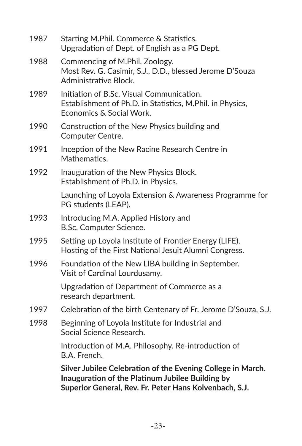| 1987 | Starting M.Phil. Commerce & Statistics.<br>Upgradation of Dept. of English as a PG Dept.                                                                                  |
|------|---------------------------------------------------------------------------------------------------------------------------------------------------------------------------|
| 1988 | Commencing of M.Phil. Zoology.<br>Most Rev. G. Casimir, S.J., D.D., blessed Jerome D'Souza<br>Administrative Block.                                                       |
| 1989 | Initiation of B.Sc. Visual Communication.<br>Establishment of Ph.D. in Statistics, M.Phil. in Physics,<br>Economics & Social Work.                                        |
| 1990 | Construction of the New Physics building and<br>Computer Centre.                                                                                                          |
| 1991 | Inception of the New Racine Research Centre in<br>Mathematics.                                                                                                            |
| 1992 | Inauguration of the New Physics Block.<br>Establishment of Ph.D. in Physics.                                                                                              |
|      | Launching of Loyola Extension & Awareness Programme for<br>PG students (LEAP).                                                                                            |
| 1993 | Introducing M.A. Applied History and<br>B.Sc. Computer Science.                                                                                                           |
| 1995 | Setting up Loyola Institute of Frontier Energy (LIFE).<br>Hosting of the First National Jesuit Alumni Congress.                                                           |
| 1996 | Foundation of the New LIBA building in September.<br>Visit of Cardinal Lourdusamy.                                                                                        |
|      | Upgradation of Department of Commerce as a<br>research department.                                                                                                        |
| 1997 | Celebration of the birth Centenary of Fr. Jerome D'Souza, S.J.                                                                                                            |
| 1998 | Beginning of Loyola Institute for Industrial and<br>Social Science Research.                                                                                              |
|      | Introduction of M.A. Philosophy. Re-introduction of<br>B.A. French.                                                                                                       |
|      | Silver Jubilee Celebration of the Evening College in March.<br>Inauguration of the Platinum Jubilee Building by<br>Superior General, Rev. Fr. Peter Hans Kolvenbach, S.J. |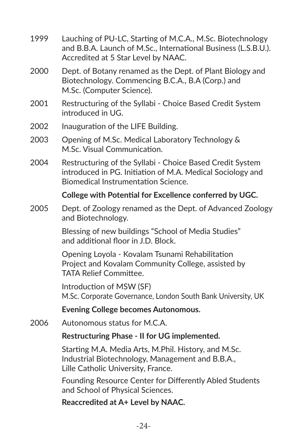1999 Lauching of PU-LC, Starting of M.C.A., M.Sc. Biotechnology and B.B.A. Launch of M.Sc., International Business (L.S.B.U.). Accredited at 5 Star Level by NAAC. 2000 Dept. of Botany renamed as the Dept. of Plant Biology and Biotechnology. Commencing B.C.A., B.A (Corp.) and M.Sc. (Computer Science). 2001 Restructuring of the Syllabi - Choice Based Credit System introduced in UG. 2002 Inauguration of the LIFE Building. 2003 Opening of M.Sc. Medical Laboratory Technology & M.Sc. Visual Communication. 2004 Restructuring of the Syllabi - Choice Based Credit System introduced in PG. Initiation of M.A. Medical Sociology and Biomedical Instrumentation Science. **College with Potential for Excellence conferred by UGC.** 2005 Dept. of Zoology renamed as the Dept. of Advanced Zoology and Biotechnology. Blessing of new buildings "School of Media Studies" and additional floor in J.D. Block. Opening Loyola - Kovalam Tsunami Rehabilitation Project and Kovalam Community College, assisted by TATA Relief Committee. Introduction of MSW (SF) M.Sc. Corporate Governance, London South Bank University, UK **Evening College becomes Autonomous.** 2006 Autonomous status for M.C.A. **Restructuring Phase - II for UG implemented.** Starting M.A. Media Arts, M.Phil. History, and M.Sc. Industrial Biotechnology, Management and B.B.A., Lille Catholic University, France. Founding Resource Center for Differently Abled Students and School of Physical Sciences.

**Reaccredited at A+ Level by NAAC.**